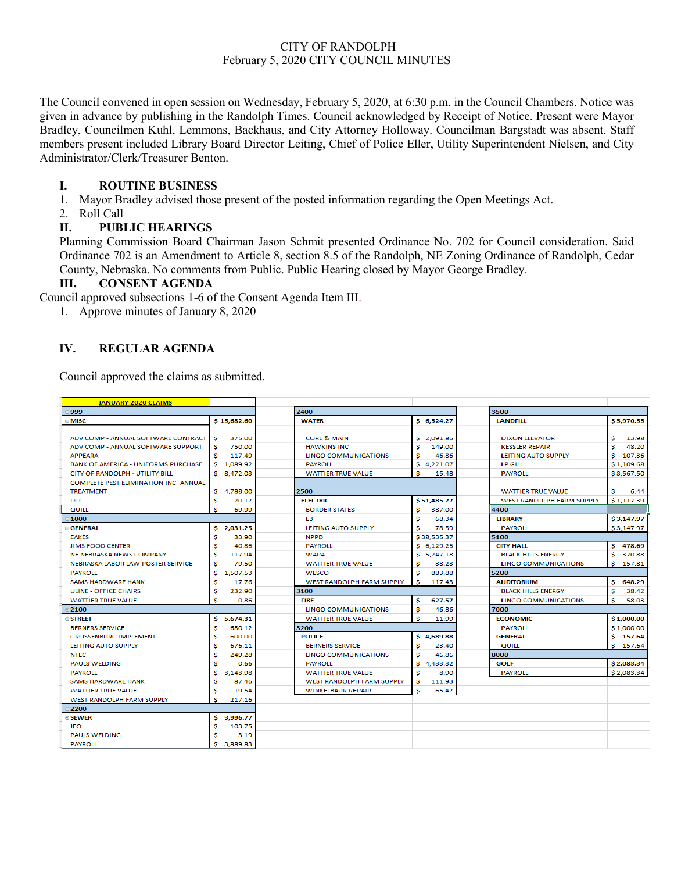# CITY OF RANDOLPH February 5, 2020 CITY COUNCIL MINUTES

The Council convened in open session on Wednesday, February 5, 2020, at 6:30 p.m. in the Council Chambers. Notice was given in advance by publishing in the Randolph Times. Council acknowledged by Receipt of Notice. Present were Mayor Bradley, Councilmen Kuhl, Lemmons, Backhaus, and City Attorney Holloway. Councilman Bargstadt was absent. Staff members present included Library Board Director Leiting, Chief of Police Eller, Utility Superintendent Nielsen, and City Administrator/Clerk/Treasurer Benton.

# **I. ROUTINE BUSINESS**

1. Mayor Bradley advised those present of the posted information regarding the Open Meetings Act.

2. Roll Call

# **II. PUBLIC HEARINGS**

Planning Commission Board Chairman Jason Schmit presented Ordinance No. 702 for Council consideration. Said Ordinance 702 is an Amendment to Article 8, section 8.5 of the Randolph, NE Zoning Ordinance of Randolph, Cedar County, Nebraska. No comments from Public. Public Hearing closed by Mayor George Bradley.

### **III. CONSENT AGENDA**

Council approved subsections 1-6 of the Consent Agenda Item III.

1. Approve minutes of January 8, 2020

# **IV. REGULAR AGENDA**

Council approved the claims as submitted.

| <b>JANUARY 2020 CLAIMS</b>                    |                |                                  |               |                             |              |
|-----------------------------------------------|----------------|----------------------------------|---------------|-----------------------------|--------------|
| ≡999                                          |                | 2400                             |               | 3500                        |              |
| ⊕ MISC                                        | \$15,682.60    | <b>WATER</b>                     | \$6,524.27    | <b>LANDFILL</b>             | \$5,970.55   |
|                                               |                |                                  |               |                             |              |
| ADV COMP - ANNUAL SOFTWARE CONTRACT           | 375.00<br>s    | <b>CORE &amp; MAIN</b>           | \$2,091.86    | <b>DIXON ELEVATOR</b>       | \$<br>13.98  |
| ADV COMP - ANNUAL SOFTWARE SUPPORT            | s<br>750.00    | <b>HAWKINS INC</b>               | Ś<br>149.00   | <b>KESSLER REPAIR</b>       | Ś<br>48.20   |
| <b>APPEARA</b>                                | 117.49<br>s    | LINGO COMMUNICATIONS             | s<br>46.86    | LEITING AUTO SUPPLY         | \$107.36     |
| <b>BANK OF AMERICA - UNIFORMS PURCHASE</b>    | 1.089.92<br>s  | <b>PAYROLL</b>                   | s<br>4,221.07 | <b>LP GILL</b>              | \$1,109.68   |
| CITY OF RANDOLPH - UTILITY BILL               | \$ 8.472.03    | <b>WATTIER TRUE VALUE</b>        | s<br>15.48    | <b>PAYROLL</b>              | \$3,567.50   |
| <b>COMPLETE PEST ELIMINATION INC - ANNUAL</b> |                |                                  |               |                             |              |
| <b>TREATMENT</b>                              | S.<br>4,788.00 | 2500                             |               | <b>WATTIER TRUE VALUE</b>   | s<br>6.44    |
| <b>DCC</b>                                    | s<br>20.17     | <b>ELECTRIC</b>                  | \$51,485.27   | WEST RANDOLPH FARM SUPPLY   | \$1,117.39   |
| QUILL                                         | s<br>69.99     | <b>BORDER STATES</b>             | s<br>387.00   | 4400                        |              |
| $= 1000$                                      |                | E <sub>3</sub>                   | s<br>68.34    | <b>LIBRARY</b>              | \$3,147.97   |
| <b>GENERAL</b>                                | s<br>2.031.25  | LEITING AUTO SUPPLY              | s<br>78.59    | <b>PAYROLL</b>              | \$3,147.97   |
| <b>EAKES</b>                                  | s<br>33.90     | <b>NPPD</b>                      | \$38,535.37   | 5100                        |              |
| <b>JIMS FOOD CENTER</b>                       | 40.86          | <b>PAYROLL</b>                   | \$6,129.25    | <b>CITY HALL</b>            | \$478.69     |
| NE NEBRASKA NEWS COMPANY                      | 117.94<br>s    | <b>WAPA</b>                      | \$5,247.18    | <b>BLACK HILLS ENERGY</b>   | s.<br>320.88 |
| NEBRASKA LABOR LAW POSTER SERVICE             | 79.50<br>s     | <b>WATTIER TRUE VALUE</b>        | s<br>38.23    | <b>LINGO COMMUNICATIONS</b> | 157.81<br>Ś. |
| <b>PAYROLL</b>                                | 1,507.53<br>s  | <b>WESCO</b>                     | 883.88<br>\$  | 5200                        |              |
| <b>SAMS HARDWARE HANK</b>                     | Ś<br>17.76     | <b>WEST RANDOLPH FARM SUPPLY</b> | s<br>117.43   | <b>AUDITORIUM</b>           | s.<br>648.29 |
| <b>ULINE - OFFICE CHAIRS</b>                  | 232.90<br>S    | 3100                             |               | <b>BLACK HILLS ENERGY</b>   | \$<br>38.42  |
| <b>WATTIER TRUE VALUE</b>                     | Ś<br>0.86      | <b>FIRE</b>                      | \$<br>627.57  | LINGO COMMUNICATIONS        | Ś<br>58.03   |
| $= 2100$                                      |                | <b>LINGO COMMUNICATIONS</b>      | s<br>46.86    | 7000                        |              |
| $\square$ STREET                              | s<br>5,674.31  | <b>WATTIER TRUE VALUE</b>        | s<br>11.99    | <b>ECONOMIC</b>             | \$1,000.00   |
| <b>BERNERS SERVICE</b>                        | s<br>680.12    | 3200                             |               | <b>PAYROLL</b>              | \$1,000.00   |
| <b>GROSSENBURG IMPLEMENT</b>                  | s<br>600.00    | <b>POLICE</b>                    | 4,689.88<br>s | <b>GENERAL</b>              | \$157.64     |
| LEITING AUTO SUPPLY                           | S<br>676.11    | <b>BERNERS SERVICE</b>           | Ś<br>23.40    | QUILL                       | \$157.64     |
| <b>NTEC</b>                                   | s<br>249.28    | LINGO COMMUNICATIONS             | s<br>46.86    | 8000                        |              |
| <b>PAULS WELDING</b>                          | Ś<br>0.66      | <b>PAYROLL</b>                   | s<br>4.433.32 | GOLF                        | \$2,083.34   |
| <b>PAYROLL</b>                                | s<br>3.143.98  | <b>WATTIER TRUE VALUE</b>        | s<br>8.90     | <b>PAYROLL</b>              | \$2,083.34   |
| SAMS HARDWARE HANK                            | 87.46<br>s     | <b>WEST RANDOLPH FARM SUPPLY</b> | s<br>111.93   |                             |              |
| <b>WATTIER TRUE VALUE</b>                     | 19.54<br>s     | <b>WINKELBAUR REPAIR</b>         | s<br>65.47    |                             |              |
| <b>WEST RANDOLPH FARM SUPPLY</b>              | s<br>217.16    |                                  |               |                             |              |
| $= 2200$                                      |                |                                  |               |                             |              |
| $\square$ SEWER                               | s<br>3.996.77  |                                  |               |                             |              |
| JEO                                           | s<br>103.75    |                                  |               |                             |              |
| <b>PAULS WELDING</b>                          | 3.19           |                                  |               |                             |              |
| <b>PAYROLL</b>                                | S<br>3,889.83  |                                  |               |                             |              |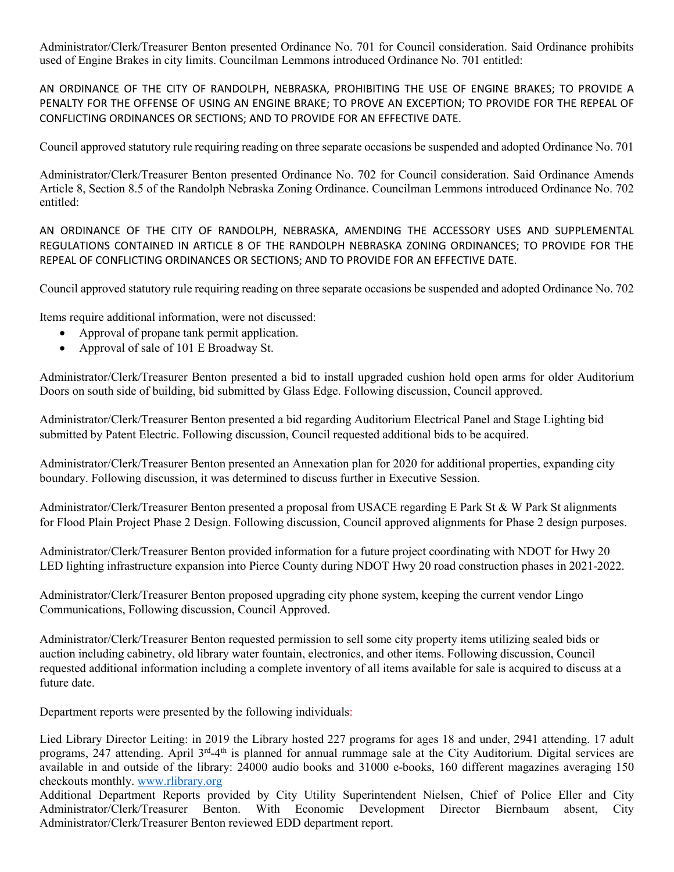Administrator/Clerk/Treasurer Benton presented Ordinance No. 701 for Council consideration. Said Ordinance prohibits used of Engine Brakes in city limits. Councilman Lemmons introduced Ordinance No. 701 entitled:

AN ORDINANCE OF THE CITY OF RANDOLPH, NEBRASKA, PROHIBITING THE USE OF ENGINE BRAKES; TO PROVIDE A PENALTY FOR THE OFFENSE OF USING AN ENGINE BRAKE; TO PROVE AN EXCEPTION; TO PROVIDE FOR THE REPEAL OF CONFLICTING ORDINANCES OR SECTIONS; AND TO PROVIDE FOR AN EFFECTIVE DATE.

Council approved statutory rule requiring reading on three separate occasions be suspended and adopted Ordinance No. 701

Administrator/Clerk/Treasurer Benton presented Ordinance No. 702 for Council consideration. Said Ordinance Amends Article 8, Section 8.5 of the Randolph Nebraska Zoning Ordinance. Councilman Lemmons introduced Ordinance No. 702 entitled:

AN ORDINANCE OF THE CITY OF RANDOLPH, NEBRASKA, AMENDING THE ACCESSORY USES AND SUPPLEMENTAL REGULATIONS CONTAINED IN ARTICLE 8 OF THE RANDOLPH NEBRASKA ZONING ORDINANCES; TO PROVIDE FOR THE REPEAL OF CONFLICTING ORDINANCES OR SECTIONS; AND TO PROVIDE FOR AN EFFECTIVE DATE.

Council approved statutory rule requiring reading on three separate occasions be suspended and adopted Ordinance No. 702

Items require additional information, were not discussed:

- Approval of propane tank permit application.
- Approval of sale of 101 E Broadway St.

Administrator/Clerk/Treasurer Benton presented a bid to install upgraded cushion hold open arms for older Auditorium Doors on south side of building, bid submitted by Glass Edge. Following discussion, Council approved.

Administrator/Clerk/Treasurer Benton presented a bid regarding Auditorium Electrical Panel and Stage Lighting bid submitted by Patent Electric. Following discussion, Council requested additional bids to be acquired.

Administrator/Clerk/Treasurer Benton presented an Annexation plan for 2020 for additional properties, expanding city boundary. Following discussion, it was determined to discuss further in Executive Session.

Administrator/Clerk/Treasurer Benton presented a proposal from USACE regarding E Park St & W Park St alignments for Flood Plain Project Phase 2 Design. Following discussion, Council approved alignments for Phase 2 design purposes.

Administrator/Clerk/Treasurer Benton provided information for a future project coordinating with NDOT for Hwy 20 LED lighting infrastructure expansion into Pierce County during NDOT Hwy 20 road construction phases in 2021-2022.

Administrator/Clerk/Treasurer Benton proposed upgrading city phone system, keeping the current vendor Lingo Communications, Following discussion, Council Approved.

Administrator/Clerk/Treasurer Benton requested permission to sell some city property items utilizing sealed bids or auction including cabinetry, old library water fountain, electronics, and other items. Following discussion, Council requested additional information including a complete inventory of all items available for sale is acquired to discuss at a future date.

Department reports were presented by the following individuals:

Lied Library Director Leiting: in 2019 the Library hosted 227 programs for ages 18 and under, 2941 attending. 17 adult programs, 247 attending. April 3<sup>rd</sup>-4<sup>th</sup> is planned for annual rummage sale at the City Auditorium. Digital services are available in and outside of the library: 24000 audio books and 31000 e-books, 160 different magazines averaging 150 checkouts monthly. [www.rlibrary.org](http://www.rlibrary.org/)

Additional Department Reports provided by City Utility Superintendent Nielsen, Chief of Police Eller and City Administrator/Clerk/Treasurer Benton. With Economic Development Director Biernbaum absent, City Administrator/Clerk/Treasurer Benton reviewed EDD department report.